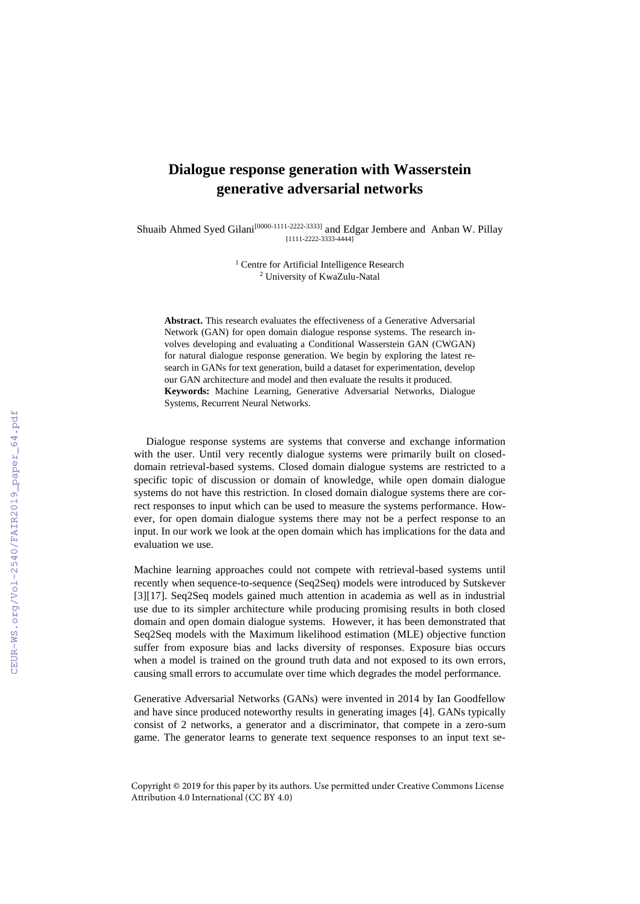## **Dialogue response generation with Wasserstein generative adversarial networks**

Shuaib Ahmed Syed Gilani<sup>[0000-1111-2222-3333]</sup> and Edgar Jembere and Anban W. Pillay [1111-2222-3333-4444]

> <sup>1</sup> Centre for Artificial Intelligence Research <sup>2</sup> University of KwaZulu-Natal

**Abstract.** This research evaluates the effectiveness of a Generative Adversarial Network (GAN) for open domain dialogue response systems. The research involves developing and evaluating a Conditional Wasserstein GAN (CWGAN) for natural dialogue response generation. We begin by exploring the latest research in GANs for text generation, build a dataset for experimentation, develop our GAN architecture and model and then evaluate the results it produced. **Keywords:** Machine Learning, Generative Adversarial Networks, Dialogue Systems, Recurrent Neural Networks.

Dialogue response systems are systems that converse and exchange information with the user. Until very recently dialogue systems were primarily built on closeddomain retrieval-based systems. Closed domain dialogue systems are restricted to a specific topic of discussion or domain of knowledge, while open domain dialogue systems do not have this restriction. In closed domain dialogue systems there are correct responses to input which can be used to measure the systems performance. However, for open domain dialogue systems there may not be a perfect response to an input. In our work we look at the open domain which has implications for the data and evaluation we use.

Machine learning approaches could not compete with retrieval-based systems until recently when sequence-to-sequence (Seq2Seq) models were introduced by Sutskever [3][17]. Seq2Seq models gained much attention in academia as well as in industrial use due to its simpler architecture while producing promising results in both closed domain and open domain dialogue systems. However, it has been demonstrated that Seq2Seq models with the Maximum likelihood estimation (MLE) objective function suffer from exposure bias and lacks diversity of responses. Exposure bias occurs when a model is trained on the ground truth data and not exposed to its own errors, causing small errors to accumulate over time which degrades the model performance.

Generative Adversarial Networks (GANs) were invented in 2014 by Ian Goodfellow and have since produced noteworthy results in generating images [4]. GANs typically consist of 2 networks, a generator and a discriminator, that compete in a zero-sum game. The generator learns to generate text sequence responses to an input text se-

Copyright © 2019 for this paper by its authors. Use permitted under Creative Commons License Attribution 4.0 International (CC BY 4.0)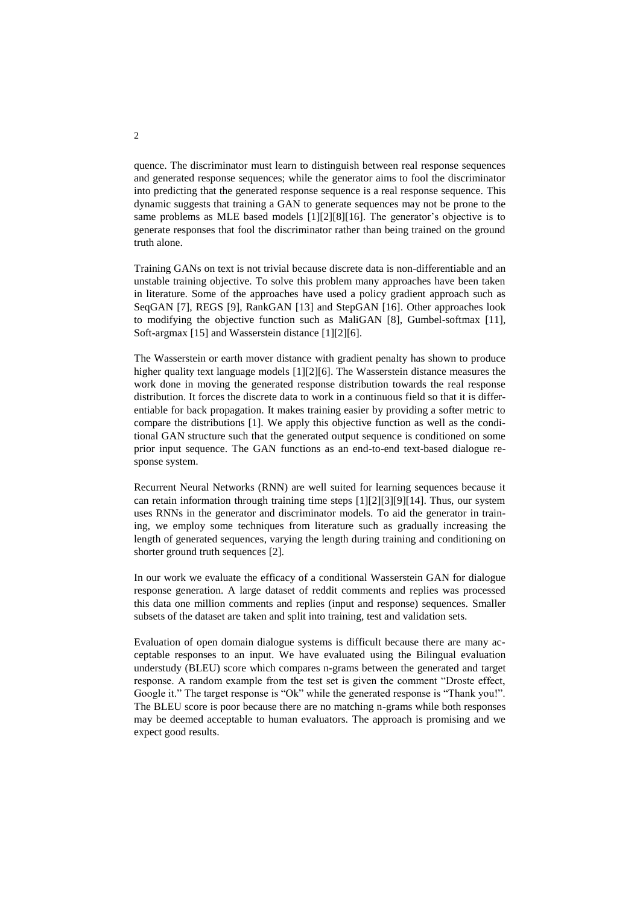quence. The discriminator must learn to distinguish between real response sequences and generated response sequences; while the generator aims to fool the discriminator into predicting that the generated response sequence is a real response sequence. This dynamic suggests that training a GAN to generate sequences may not be prone to the same problems as MLE based models [1][2][8][16]. The generator's objective is to generate responses that fool the discriminator rather than being trained on the ground truth alone.

Training GANs on text is not trivial because discrete data is non-differentiable and an unstable training objective. To solve this problem many approaches have been taken in literature. Some of the approaches have used a policy gradient approach such as SeqGAN [7], REGS [9], RankGAN [13] and StepGAN [16]. Other approaches look to modifying the objective function such as MaliGAN [8], Gumbel-softmax [11], Soft-argmax [15] and Wasserstein distance [1][2][6].

The Wasserstein or earth mover distance with gradient penalty has shown to produce higher quality text language models [1][2][6]. The Wasserstein distance measures the work done in moving the generated response distribution towards the real response distribution. It forces the discrete data to work in a continuous field so that it is differentiable for back propagation. It makes training easier by providing a softer metric to compare the distributions [1]. We apply this objective function as well as the conditional GAN structure such that the generated output sequence is conditioned on some prior input sequence. The GAN functions as an end-to-end text-based dialogue response system.

Recurrent Neural Networks (RNN) are well suited for learning sequences because it can retain information through training time steps [1][2][3][9][14]. Thus, our system uses RNNs in the generator and discriminator models. To aid the generator in training, we employ some techniques from literature such as gradually increasing the length of generated sequences, varying the length during training and conditioning on shorter ground truth sequences [2].

In our work we evaluate the efficacy of a conditional Wasserstein GAN for dialogue response generation. A large dataset of reddit comments and replies was processed this data one million comments and replies (input and response) sequences. Smaller subsets of the dataset are taken and split into training, test and validation sets.

Evaluation of open domain dialogue systems is difficult because there are many acceptable responses to an input. We have evaluated using the Bilingual evaluation understudy (BLEU) score which compares n-grams between the generated and target response. A random example from the test set is given the comment "Droste effect, Google it." The target response is "Ok" while the generated response is "Thank you!". The BLEU score is poor because there are no matching n-grams while both responses may be deemed acceptable to human evaluators. The approach is promising and we expect good results.